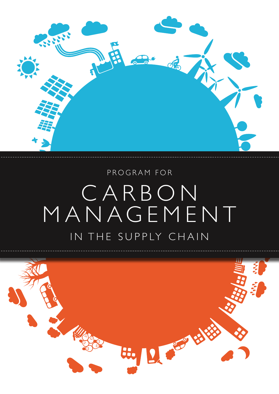

# PROGRAM FOR CARBON MANAGEMENT IN THE SUPPLY CHAIN

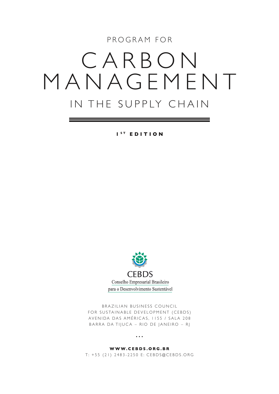PROGRAM FOR

# CARBON MANAGEMENT IN THE SUPPLY CHAIN

**1 s t edition**



BRAZILIAN BUSINESS COUNCIL FOR SUSTAINABLE DEVELOPMENT (CEBDS) AVENIDA DAS AMÉRICAS, II55 / SALA 208 BARRA DA TIJUCA – RIO DE JANEIRO – RJ

•••

### **www.cebds.org.br**

T: +55 (21) 2483-2250 E: CEBDS@CEBDS.ORG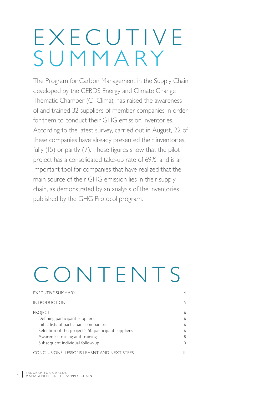# EXECUTIVE Summary

The Program for Carbon Management in the Supply Chain, developed by the CEBDS Energy and Climate Change Thematic Chamber (CTClima), has raised the awareness of and trained 32 suppliers of member companies in order for them to conduct their GHG emission inventories. According to the latest survey, carried out in August, 22 of these companies have already presented their inventories, fully (15) or partly (7). These figures show that the pilot project has a consolidated take-up rate of 69%, and is an important tool for companies that have realized that the main source of their GHG emission lies in their supply chain, as demonstrated by an analysis of the inventories published by the GHG Protocol program.

# CONTENTS

| <b>EXECUTIVE SUMMARY</b>                            | 4              |
|-----------------------------------------------------|----------------|
| <b>INTRODUCTION</b>                                 | 5              |
| <b>PROJECT</b>                                      | 6              |
| Defining participant suppliers                      | 6              |
| Initial lists of participant companies              | 6              |
| Selection of the project's 50 participant suppliers | 6              |
| Awareness-raising and training                      | 8              |
| Subsequent individual follow-up                     | $\overline{0}$ |
| CONCLUSIONS, LESSONS LEARNT AND NEXT STEPS          |                |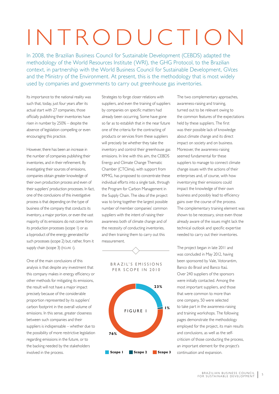# INTRO DuC TION

In 2008, the Brazilian Business Council for Sustainable Development (CEBDS) adapted the methodology of the World Resources Institute (WRI), the GHG Protocol, to the Brazilian context, in partnership with the World Business Council for Sustainable Development, GVces and the Ministry of the Environment. At present, this is the methodology that is most widely used by companies and governments to carry out greenhouse gas inventories.

Its importance to the national reality was such that, today, just four years after its actual start with 27 companies, those officially publishing their inventories have risen in number by 250% – despite the absence of legislation compelling or even encouraging this practice.

However, there has been an increase in the number of companies publishing their inventories, and in their refinement. By investigating their sources of emissions, companies obtain greater knowledge of their own production process and even of their suppliers' production processes. In fact, one of the conclusions of this investigative process is that depending on the type of business of the company that conducts its inventory, a major portion, or even the vast majority of its emissions do not come from its production processes (scope 1) or as a byproduct of the energy generated for such processes (scope 2) but, rather, from it supply chain (scope 3) (FIGURE 1).

One of the main conclusions of this analysis is that despite any investment that this company makes in energy efficiency or other methods for mitigating its emissions, the result will not have a major impact precisely because of the considerable proportion represented by its suppliers' carbon footprint in the overall volume of emissions. In this sense, greater closeness between such companies and their suppliers is indispensable – whether due to the possibility of more restrictive legislation regarding emissions in the future, or to the backing needed by the stakeholders involved in the process.

Strategies to forge closer relations with suppliers, and even the training of suppliers by companies on specific matters had already been occurring. Some have gone so far as to establish that in the near future one of the criteria for the contracting of products or services from these suppliers will precisely be whether they take the inventory and control their greenhouse gas emissions. In line with this aim, the CEBDS Energy and Climate Change Thematic Chamber (CTClima), with support from KPMG, has proposed to concentrate these individual efforts into a single task, through the Program for Carbon Management in the Supply Chain. The idea of the project was to bring together the largest possible number of member companies' common suppliers with the intent of raising their awareness both of climate change and of the necessity of conducting inventories, and then training them to carry out this measurement.

B R A Z I L' S E M I S S I O N S per scope in 2010 **Scope 1 Scope 2 Scope 3 76% 23% 1%** figure 1

The two complementary approaches, awareness-raising and training, turned out to be relevant owing to the common features of the expectations held by these suppliers. The first was their possible lack of knowledge about climate change and its direct impact on society and on business. Moreover, the awareness-raising seemed fundamental for these suppliers to manage to connect climate change issues with the actions of their enterprises and, of course, with how inventorying their emissions could impact the knowledge of their own business and possibly lead to efficiency gains over the course of the process. The complementary training element was shown to be necessary, since even those already aware of the issues might lack the technical outlook and specific expertise needed to carry out their inventories.

The project began in late 2011 and was concluded in May 2012, having been sponsored by Vale, Votorantim, Banco do Brasil and Banco Itaú. Over 240 suppliers of the sponsors were initially contacted. Among the most important suppliers, and those that were common to more than one company, 50 were selected to take part in the awareness-raising and training workshops. The following pages demonstrate the methodology employed for the project, its main results and conclusions, as well as the selfcriticism of those conducting the process, an important element for the project's continuation and expansion.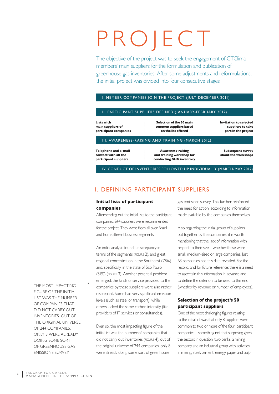# PROJECT

The objective of the project was to seek the engagement of CTClima members' main suppliers for the formulation and publication of greenhouse gas inventories. After some adjustments and reformulations, the initial project was divided into four consecutive stages:

### I. MEMBER COMPANIES JOIN THE PROJECT (JULY-DECEMBER 2011)

#### II. PARTICIPANT SUPPLIERS DEFINED (JANUARY-FEBRUARY 2012)

**Lists with main suppliers of participant companies**

**Selection of the 50 main common suppliers based on the list offered**

**Invitation to selected suppliers to take part in the project**

#### III. AWARENESS-RAISING AND TRAINING (MARCH 2012)

**Telephone and e-mail contact with all the participant suppliers** 

**Awareness-raising and training workshop for conducting GHG inventory** 

**Subsequent survey about the workshops**

IV. Conduct of Inventories Followed Up Individually (March-May 2012)

# I. Defining participant suppliers

### **Initial lists of participant companies**

After sending out the initial lists to the participant companies, 244 suppliers were recommended for the project. They were from all over Brazil and from different business segments.

An initial analysis found a discrepancy in terms of the segments (figure 2), and great regional concentration in the Southeast (78%) and, specifically, in the state of São Paulo (51%) (figure 3). Another potential problem emerged: the kinds of service provided to the companies by these suppliers were also rather discrepant. Some had very significant emission levels (such as steel or transport), while others lacked the same carbon intensity (like providers of IT services or consultancies).

Even so, the most impacting figure of the initial list was the number of companies that did not carry out inventories (figure 4): out of the original universe of 244 companies, only 8 were already doing some sort of greenhouse

gas emissions survey. This further reinforced the need for action, according to information made available by the companies themselves.

Also regarding the initial group of suppliers put together by the companies, it is worth mentioning that the lack of information with respect to their size – whether these were small, medium-sized or large companies. Just 63 companies had this data revealed. For the record, and for future reference: there is a need to ascertain this information in advance and to define the criterion to be used to this end (whether by revenue or number of employees).

# **Selection of the project's 50 participant suppliers**

One of the most challenging figures relating to the initial list was that only 8 suppliers were common to two or more of the four participant companies – something not that surprising given the sectors in question: two banks, a mining company and an industrial group with activities in mining, steel, cement, energy, paper and pulp

the most impacting figure of the initial list was the number of companies that did not carry out inventories. out of the original universe of 244 companies, only 8 were already doing some sort of greenhouse gas emissions survey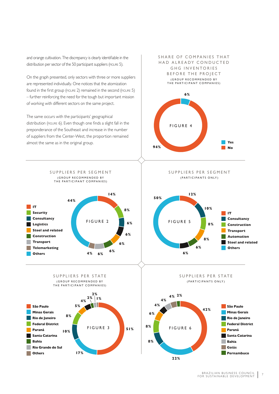and orange cultivation. The discrepancy is clearly identifiable in the distribution per sector of the 50 participant suppliers (FIGURE 5).

On the graph presented, only sectors with three or more suppliers are represented individually. One notices that the atomization found in the first group (figure 2) remained in the second (figure 5) – further reinforcing the need for the tough but important mission of working with different sectors on the same project.

The same occurs with the participants' geographical distribution (figure 6). Even though one finds a slight fall in the preponderance of the Southeast and increase in the number of suppliers from the Center-West, the proportion remained almost the same as in the original group.

SHARE OF COMPANIES THAT HAD ALREADY CONDUCTED GHG INVENTORIES BEFORE THE PROJECT (GROUP RECOMMENDED BY the participant companies) **6%**

figure 4

SUPPLIERS PER SEGMENT (participants only)

**94%**

**Yes No**







SUPPLIERS PER SEGMENT (GROUP RECOMMENDED BY THE PARTICIPANT COMPANIES)





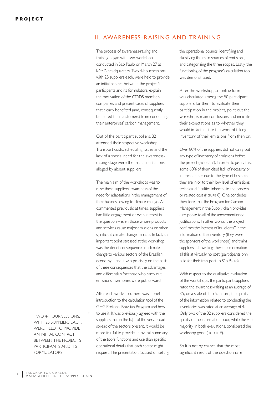# II. Awareness-raising and training

The process of awareness-raising and training began with two workshops conducted in São Paulo on March 27 at KPMG headquarters. Two 4-hour sessions, with 25 suppliers each, were held to provide an initial contact between the project's participants and its formulators, explain the motivation of the CEBDS membercompanies and present cases of suppliers that clearly benefited (and, consequently, benefited their customers) from conducting their enterprises' carbon management.

Out of the participant suppliers, 32 attended their respective workshop. Transport costs, scheduling issues and the lack of a special need for the awarenessraising stage were the main justifications alleged by absent suppliers.

The main aim of the workshops was to raise these suppliers' awareness of the need for adaptations in the management of their business owing to climate change. As commented previously, at times, suppliers had little engagement or even interest in the question – even those whose products and services cause major emissions or other significant climate change impacts. In fact, an important point stressed at the workshop was the direct consequences of climate change to various sectors of the Brazilian economy – and it was precisely on the basis of these consequences that the advantages and differentials for those who carry out emissions inventories were put forward.

After each workshop, there was a brief introduction to the calculation tool of the GHG Protocol Brazilian Program and how to use it. It was previously agreed with the suppliers that in the light of the very broad spread of the sectors present, it would be more fruitful to provide an overall summary of the tool's functions and use than specific operational details that each sector might request. The presentation focused on setting the operational bounds, identifying and classifying the main sources of emissions, and categorizing the three scopes. Lastly, the functioning of the program's calculation tool was demonstrated.

After the workshop, an online form was circulated among the 50 participant suppliers for them to evaluate their participation in the project, point out the workshop's main conclusions and indicate their expectations as to whether they would in fact initiate the work of taking inventory of their emissions from then on.

Over 80% of the suppliers did not carry out any type of inventory of emissions before the project (figure 7). In order to justify this, some 60% of them cited lack of necessity or interest, either due to the type of business they are in or to their low level of emissions; technical difficulties inherent to the process; or related cost (figure 8). One concludes, therefore, that the Program for Carbon Management in the Supply chain provides a response to all of the abovementioned justifications. In other words, the project confirms the interest of its "clients" in the information of the inventory (they were the sponsors of the workshops) and trains suppliers in how to gather the information – all this at virtually no cost (participants only paid for their transport to São Paulo).

With respect to the qualitative evaluation of the workshops, the participant suppliers rated the awareness-raising at an average of 3.9, on a scale of 1 to 5. In turn, the quality of the information related to conducting the inventories was rated at an average of 4. Only two of the 32 suppliers considered the quality of the information poor, while the vast majority, in both evaluations, considered the workshop good (FIGURE 9).

So it is not by chance that the most significant result of the questionnaire

Two 4-hour sessions, with 25 suppliers each, were held to provide an initial contact between the project's participants and its **FORMULATORS**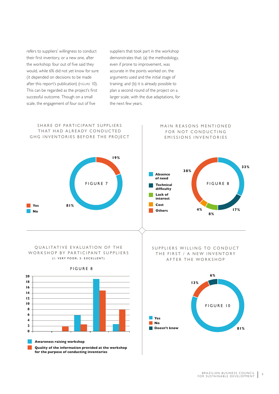refers to suppliers' willingness to conduct their first inventory, or a new one, after the workshop: four out of five said they would, while 6% did not yet know for sure (it depended on decisions to be made after this report's publication) (figure 10). This can be regarded as the project's first successful outcome. Though on a small scale, the engagement of four out of five

suppliers that took part in the workshop demonstrates that: (a) the methodology, even if prone to improvement, was accurate in the points worked on, the arguments used and the initial stage of training; and (b) it is already possible to plan a second round of the project on a larger scale, with the due adaptations, for the next few years.

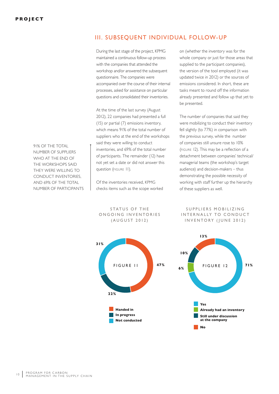91% of the total number of suppliers WHO AT THE FND OF the workshops said they were willing to conduct inventories, and 69% of the total number of participants

# III. Subsequent individual follow-up

During the last stage of the project, KPMG maintained a continuous follow-up process with the companies that attended the workshop and/or answered the subsequent questionnaire. The companies were accompanied over the course of their internal processes, asked for assistance on particular questions and consolidated their inventories.

At the time of the last survey (August 2012), 22 companies had presented a full (15) or partial (7) emissions inventory, which means 91% of the total number of suppliers who at the end of the workshops said they were willing to conduct inventories, and 69% of the total number of participants. The remainder (12) have not yet set a date or did not answer this question (figure 11).

Of the inventories received, KPMG checks items such as the scope worked on (whether the inventory was for the whole company or just for those areas that supplied to the participant companies), the version of the tool employed (it was updated twice in 2012) or the sources of emissions considered. In short, these are tasks meant to round off the information already presented and follow up that yet to be presented.

The number of companies that said they were mobilizing to conduct their inventory fell slightly (to 77%) in comparison with the previous survey, while the number of companies still unsure rose to 10% (figure 12). This may be a reflection of a detachment between companies' technical/ managerial teams (the workshop's target audience) and decision-makers – thus demonstrating the possible necessity of working with staff further up the hierarchy of these suppliers as well.

SUPPLIERS MOBILIZING INTERNALLY TO CONDUCT INVENTORY (JUNE 2012)



STATUS OF THE ONGOING INVENTORIES ( A ugust 2012)

![](_page_9_Figure_10.jpeg)

<sup>10</sup> PROGRAM FOR CARBON<br><sup>10</sup> MANAGEMENT IN THE SUPPLY CHAIN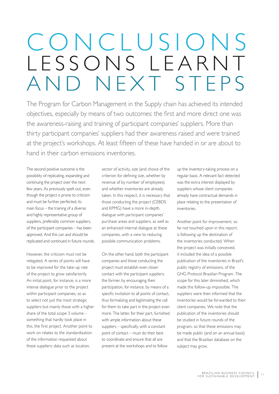# CONCLUSIONS L E S S O N S L E A R N T AND NFXT STFPS

The Program for Carbon Management in the Supply chain has achieved its intended objectives, especially by means of two outcomes: the first and more direct one was the awareness-raising and training of participant companies' suppliers. More than thirty participant companies' suppliers had their awareness raised and were trained at the project's workshops. At least fifteen of these have handed in or are about to hand in their carbon emissions inventories.

The second positive outcome is the possibility of replicating, expanding and continuing the project over the next few years. As previously spelt out, even though the project is prone to criticism and must be further perfected, its main focus – the training of a diverse and highly representative group of suppliers, preferably common suppliers, of the participant companies – has been approved. And this can and should be replicated and continued in future rounds.

However, the criticism must not be relegated. A series of points will have to be improved for the take-up rate of the project to grow satisfactorily. An initial point, for instance, is a more intense dialogue prior to the project within participant companies, so as to select not just the most strategic suppliers but mainly those with a higher share of the total scope 3 volume – something that hardly took place in this, the first project. Another point to work on relates to the standardization of the information requested about these suppliers: data such as location,

sector of activity, size (and choice of the criterion for defining size, whether by revenue of by number of employees) and whether inventories are already taken. In this respect, it is necessary that those conducting the project (CEBDS and KPMG) have a more in-depth dialogue with participant companies' purchase areas and suppliers, as well as an enhanced internal dialogue at these companies, with a view to reducing possible communication problems.

On the other hand, both the participant companies and those conducting the project must establish even closer contact with the participant suppliers; the former, by encouraging their participation, for instance, by means of a specific invitation to all points of contact, thus formalizing and legitimating the call for them to take part in the project even more. The latter, for their part, furnished with ample information about these suppliers – specifically, with a constant point of contact – must do their best to coordinate and ensure that all are present at the workshops and to follow

up the inventory-taking process on a regular basis. A relevant fact detected was the extra interest displayed by suppliers whose client companies already have contractual demands in place relating to the presentation of inventories.

Another point for improvement, so far not touched upon in this report, is following up the destination of the inventories conducted. When the project was initially conceived, it included the idea of a possible publication of the inventories in Brazil's public registry of emissions, of the GHG Protocol Brazilian Program. The scope for this later diminished, which made this follow-up impossible. The suppliers were then informed that the inventories would be forwarded to their client companies. We note that the publication of the inventories should be studied in future rounds of the program, so that these emissions may be made public (and on an annual basis) and that the Brazilian database on the subject may grow.